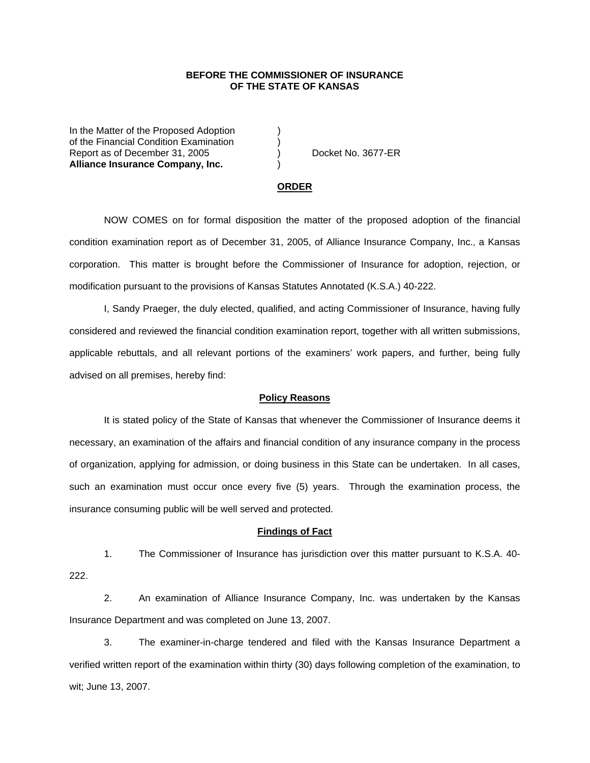### **BEFORE THE COMMISSIONER OF INSURANCE OF THE STATE OF KANSAS**

In the Matter of the Proposed Adoption of the Financial Condition Examination ) Report as of December 31, 2005 (and Separate No. 3677-ER **Alliance Insurance Company, Inc.** )

#### **ORDER**

 NOW COMES on for formal disposition the matter of the proposed adoption of the financial condition examination report as of December 31, 2005, of Alliance Insurance Company, Inc., a Kansas corporation. This matter is brought before the Commissioner of Insurance for adoption, rejection, or modification pursuant to the provisions of Kansas Statutes Annotated (K.S.A.) 40-222.

 I, Sandy Praeger, the duly elected, qualified, and acting Commissioner of Insurance, having fully considered and reviewed the financial condition examination report, together with all written submissions, applicable rebuttals, and all relevant portions of the examiners' work papers, and further, being fully advised on all premises, hereby find:

### **Policy Reasons**

 It is stated policy of the State of Kansas that whenever the Commissioner of Insurance deems it necessary, an examination of the affairs and financial condition of any insurance company in the process of organization, applying for admission, or doing business in this State can be undertaken. In all cases, such an examination must occur once every five (5) years. Through the examination process, the insurance consuming public will be well served and protected.

#### **Findings of Fact**

 1. The Commissioner of Insurance has jurisdiction over this matter pursuant to K.S.A. 40- 222.

 2. An examination of Alliance Insurance Company, Inc. was undertaken by the Kansas Insurance Department and was completed on June 13, 2007.

 3. The examiner-in-charge tendered and filed with the Kansas Insurance Department a verified written report of the examination within thirty (30) days following completion of the examination, to wit; June 13, 2007.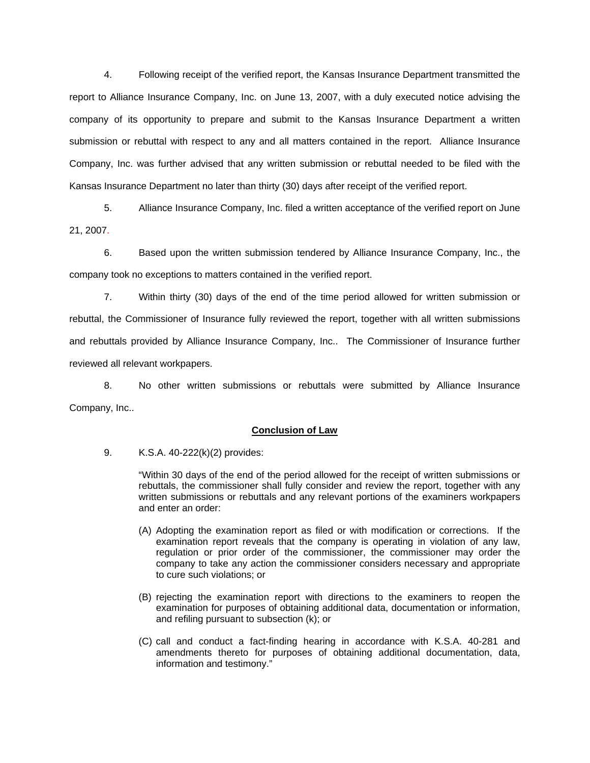4. Following receipt of the verified report, the Kansas Insurance Department transmitted the report to Alliance Insurance Company, Inc. on June 13, 2007, with a duly executed notice advising the company of its opportunity to prepare and submit to the Kansas Insurance Department a written submission or rebuttal with respect to any and all matters contained in the report. Alliance Insurance Company, Inc. was further advised that any written submission or rebuttal needed to be filed with the Kansas Insurance Department no later than thirty (30) days after receipt of the verified report.

 5. Alliance Insurance Company, Inc. filed a written acceptance of the verified report on June 21, 2007.

6. Based upon the written submission tendered by Alliance Insurance Company, Inc., the company took no exceptions to matters contained in the verified report.

 7. Within thirty (30) days of the end of the time period allowed for written submission or rebuttal, the Commissioner of Insurance fully reviewed the report, together with all written submissions and rebuttals provided by Alliance Insurance Company, Inc.. The Commissioner of Insurance further reviewed all relevant workpapers.

 8. No other written submissions or rebuttals were submitted by Alliance Insurance Company, Inc..

## **Conclusion of Law**

9. K.S.A. 40-222(k)(2) provides:

"Within 30 days of the end of the period allowed for the receipt of written submissions or rebuttals, the commissioner shall fully consider and review the report, together with any written submissions or rebuttals and any relevant portions of the examiners workpapers and enter an order:

- (A) Adopting the examination report as filed or with modification or corrections. If the examination report reveals that the company is operating in violation of any law, regulation or prior order of the commissioner, the commissioner may order the company to take any action the commissioner considers necessary and appropriate to cure such violations; or
- (B) rejecting the examination report with directions to the examiners to reopen the examination for purposes of obtaining additional data, documentation or information, and refiling pursuant to subsection (k); or
- (C) call and conduct a fact-finding hearing in accordance with K.S.A. 40-281 and amendments thereto for purposes of obtaining additional documentation, data, information and testimony."